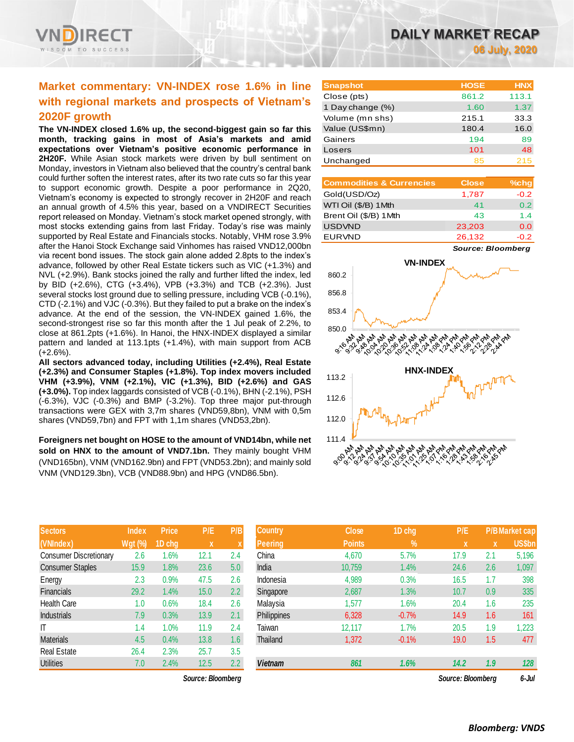

# **Market commentary: VN-INDEX rose 1.6% in line with regional markets and prospects of Vietnam's 2020F growth**

**The VN-INDEX closed 1.6% up, the second-biggest gain so far this month, tracking gains in most of Asia's markets and amid expectations over Vietnam's positive economic performance in 2H20F.** While Asian stock markets were driven by bull sentiment on Monday, investors in Vietnam also believed that the country's central bank could further soften the interest rates, after its two rate cuts so far this year to support economic growth. Despite a poor performance in 2Q20, Vietnam's economy is expected to strongly recover in 2H20F and reach an annual growth of 4.5% this year, based on a VNDIRECT Securities report released on Monday. Vietnam's stock market opened strongly, with most stocks extending gains from last Friday. Today's rise was mainly supported by Real Estate and Financials stocks. Notably, VHM rose 3.9% after the Hanoi Stock Exchange said Vinhomes has raised VND12,000bn via recent bond issues. The stock gain alone added 2.8pts to the index's advance, followed by other Real Estate tickers such as VIC (+1.3%) and NVL (+2.9%). Bank stocks joined the rally and further lifted the index, led by BID (+2.6%), CTG (+3.4%), VPB (+3.3%) and TCB (+2.3%). Just several stocks lost ground due to selling pressure, including VCB (-0.1%), CTD (-2.1%) and VJC (-0.3%). But they failed to put a brake on the index's advance. At the end of the session, the VN-INDEX gained 1.6%, the second-strongest rise so far this month after the 1 Jul peak of 2.2%, to close at 861.2pts (+1.6%). In Hanoi, the HNX-INDEX displayed a similar pattern and landed at 113.1pts (+1.4%), with main support from ACB  $(+2.6\%)$ .

**All sectors advanced today, including Utilities (+2.4%), Real Estate (+2.3%) and Consumer Staples (+1.8%). Top index movers included VHM (+3.9%), VNM (+2.1%), VIC (+1.3%), BID (+2.6%) and GAS (+3.0%).** Top index laggards consisted of VCB (-0.1%), BHN (-2.1%), PSH (-6.3%), VJC (-0.3%) and BMP (-3.2%). Top three major put-through transactions were GEX with 3,7m shares (VND59,8bn), VNM with 0,5m shares (VND59,7bn) and FPT with 1,1m shares (VND53,2bn).

**Foreigners net bought on HOSE to the amount of VND14bn, while net**  sold on HNX to the amount of VND7.1bn. They mainly bought VHM (VND165bn), VNM (VND162.9bn) and FPT (VND53.2bn); and mainly sold VNM (VND129.3bn), VCB (VND88.9bn) and HPG (VND86.5bn).

| <b>Sectors</b>                | <b>Index</b> | <b>Price</b> | P/E  | P/B |
|-------------------------------|--------------|--------------|------|-----|
| (VNIndex)                     | Wgt (%)      | 1D chg       | X    | X   |
| <b>Consumer Discretionary</b> | 2.6          | 1.6%         | 12.1 | 2.4 |
| <b>Consumer Staples</b>       | 15.9         | 1.8%         | 23.6 | 5.0 |
| Energy                        | 2.3          | 0.9%         | 47.5 | 2.6 |
| Financials                    | 29.2         | 1.4%         | 15.0 | 2.2 |
| <b>Health Care</b>            | 1.0          | 0.6%         | 18.4 | 2.6 |
| <b>Industrials</b>            | 7.9          | 0.3%         | 13.9 | 2.1 |
| IT                            | 1.4          | 1.0%         | 11.9 | 2.4 |
| <b>Materials</b>              | 4.5          | 0.4%         | 13.8 | 1.6 |
| <b>Real Estate</b>            | 26.4         | 2.3%         | 25.7 | 3.5 |
| <b>Utilities</b>              | 7.0          | 2.4%         | 12.5 | 2.2 |

*Source: Bloomberg Source: Bloomberg 6-Jul*

| <b>Snapshot</b>  | <b>HOSE</b> | <b>HNX</b> |
|------------------|-------------|------------|
| Close (pts)      | 861.2       | 113.1      |
| 1 Day change (%) | 1.60        | 1.37       |
| Volume (mn shs)  | 215.1       | 33.3       |
| Value (US\$mn)   | 180.4       | 16.0       |
| Gainers          | 194         | 89         |
| Losers           | 101         | 48         |
| Unchanged        | 85          | 215        |

| <b>Commodities &amp; Currencies</b> | <b>Close</b> | $%$ chg          |
|-------------------------------------|--------------|------------------|
| Gold(USD/Oz)                        | 1,787        | $-0.2$           |
| WTI Oil (\$/B) 1Mth                 | 41           | 0.2 <sub>0</sub> |
| Brent Oil (\$/B) 1Mth               | 43           | 1.4              |
| <b>USDVND</b>                       | 23,203       | 0.0              |
| <b>EURVND</b>                       | 26,132       | $-0.2$           |

*Source: Bloomberg*



| <b>Sectors</b>                | <b>Index</b> | <b>Price</b> | P/E               | P/B           | <b>Country</b> | <b>Close</b>  | 1D chg     | P/E               |             | <b>P/B Market cap</b> |
|-------------------------------|--------------|--------------|-------------------|---------------|----------------|---------------|------------|-------------------|-------------|-----------------------|
| (VNIndex)                     | $Wgt$ (%)    | 1D chg       | $\mathbf x$       |               | <b>Peering</b> | <b>Points</b> | $\sqrt{2}$ | x                 | $\mathbf x$ | US\$bn                |
| <b>Consumer Discretionary</b> | 2.6          | .6%          | 12.1              | 2.4           | China          | 4,670         | 5.7%       | 17.9              | 2.1         | 5,196                 |
| <b>Consumer Staples</b>       | 15.9         | $1.8\%$      | 23.6              | 5.0           | India          | 10,759        | 1.4%       | 24.6              | 2.6         | 1,097                 |
| Energy                        | $2.3\,$      | 0.9%         | 47.5              | 2.6           | Indonesia      | 4,989         | 0.3%       | 16.5              | 1.7         | 398                   |
| Financials                    | 29.2         | .4%          | 15.0              | $2.2^{\circ}$ | Singapore      | 2,687         | 1.3%       | 10.7              | 0.9         | 335                   |
| Health Care                   | 1.0          | 0.6%         | 18.4              | 2.6           | Malaysia       | 1,577         | 1.6%       | 20.4              | 1.6         | 235                   |
| Industrials                   | 7.9          | 0.3%         | 13.9              | 2.1           | Philippines    | 6,328         | $-0.7%$    | 14.9              | 1.6         | 161                   |
| ΙT                            | 1.4          | $1.0\%$      | 11.9              | 2.4           | Taiwan         | 12,117        | 1.7%       | 20.5              | 1.9         | 1,223                 |
| <b>Materials</b>              | 4.5          | 0.4%         | 13.8              | 1.6           | Thailand       | 1,372         | $-0.1%$    | 19.0              | 1.5         | 477                   |
| Real Estate                   | 26.4         | 2.3%         | 25.7              | 3.5           |                |               |            |                   |             |                       |
| <b>Utilities</b>              | 7.0          | 2.4%         | 12.5              | 2.2           | <b>Vietnam</b> | 861           | 1.6%       | 14.2              | 1.9         | 128                   |
|                               |              |              | Source: Bloombera |               |                |               |            | Source: Bloombera |             | 6-Jul                 |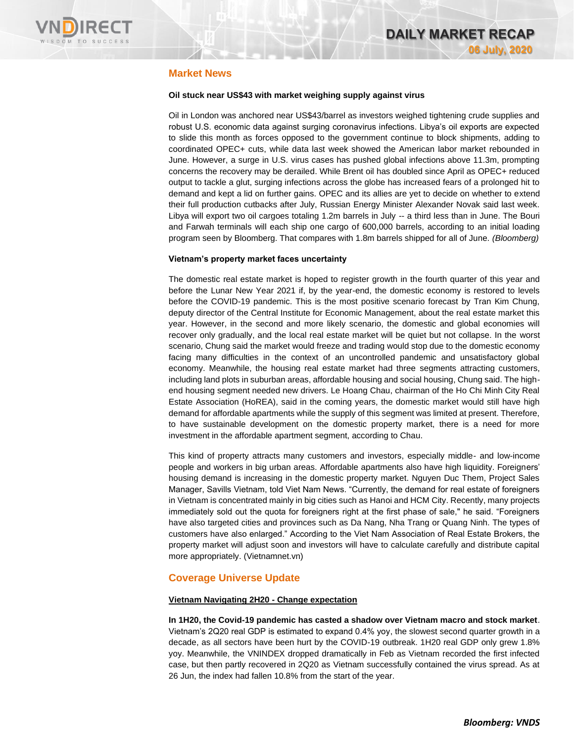

# **Market News**

## **Oil stuck near US\$43 with market weighing supply against virus**

Oil in London was anchored near US\$43/barrel as investors weighed tightening crude supplies and robust U.S. economic data against surging coronavirus infections. Libya's oil exports are expected to slide this month as forces opposed to the government continue to block shipments, adding to coordinated OPEC+ cuts, while data last week showed the American labor market rebounded in June. However, a surge in U.S. virus cases has pushed global infections above 11.3m, prompting concerns the recovery may be derailed. While Brent oil has doubled since April as OPEC+ reduced output to tackle a glut, surging infections across the globe has increased fears of a prolonged hit to demand and kept a lid on further gains. OPEC and its allies are yet to decide on whether to extend their full production cutbacks after July, Russian Energy Minister Alexander Novak said last week. Libya will export two oil cargoes totaling 1.2m barrels in July -- a third less than in June. The Bouri and Farwah terminals will each ship one cargo of 600,000 barrels, according to an initial loading program seen by Bloomberg. That compares with 1.8m barrels shipped for all of June. *(Bloomberg)*

### **Vietnam's property market faces uncertainty**

The domestic real estate market is hoped to register growth in the fourth quarter of this year and before the Lunar New Year 2021 if, by the year-end, the domestic economy is restored to levels before the COVID-19 pandemic. This is the most positive scenario forecast by Tran Kim Chung, deputy director of the Central Institute for Economic Management, about the real estate market this year. However, in the second and more likely scenario, the domestic and global economies will recover only gradually, and the local real estate market will be quiet but not collapse. In the worst scenario, Chung said the market would freeze and trading would stop due to the domestic economy facing many difficulties in the context of an uncontrolled pandemic and unsatisfactory global economy. Meanwhile, the housing real estate market had three segments attracting customers, including land plots in suburban areas, affordable housing and social housing, Chung said. The highend housing segment needed new drivers. Le Hoang Chau, chairman of the Ho Chi Minh City Real Estate Association (HoREA), said in the coming years, the domestic market would still have high demand for affordable apartments while the supply of this segment was limited at present. Therefore, to have sustainable development on the domestic property market, there is a need for more investment in the affordable apartment segment, according to Chau.

This kind of property attracts many customers and investors, especially middle- and low-income people and workers in big urban areas. Affordable apartments also have high liquidity. Foreigners' housing demand is increasing in the domestic property market. Nguyen Duc Them, Project Sales Manager, Savills Vietnam, told Viet Nam News. "Currently, the demand for real estate of foreigners in Vietnam is concentrated mainly in big cities such as Hanoi and HCM City. Recently, many projects immediately sold out the quota for foreigners right at the first phase of sale," he said. "Foreigners have also targeted cities and provinces such as Da Nang, Nha Trang or Quang Ninh. The types of customers have also enlarged." According to the Viet Nam Association of Real Estate Brokers, the property market will adjust soon and investors will have to calculate carefully and distribute capital more appropriately. (Vietnamnet.vn)

## **Coverage Universe Update**

### **Vietnam Navigating 2H20 - Change expectation**

**In 1H20, the Covid-19 pandemic has casted a shadow over Vietnam macro and stock market**. Vietnam's 2Q20 real GDP is estimated to expand 0.4% yoy, the slowest second quarter growth in a decade, as all sectors have been hurt by the COVID-19 outbreak. 1H20 real GDP only grew 1.8% yoy. Meanwhile, the VNINDEX dropped dramatically in Feb as Vietnam recorded the first infected case, but then partly recovered in 2Q20 as Vietnam successfully contained the virus spread. As at 26 Jun, the index had fallen 10.8% from the start of the year.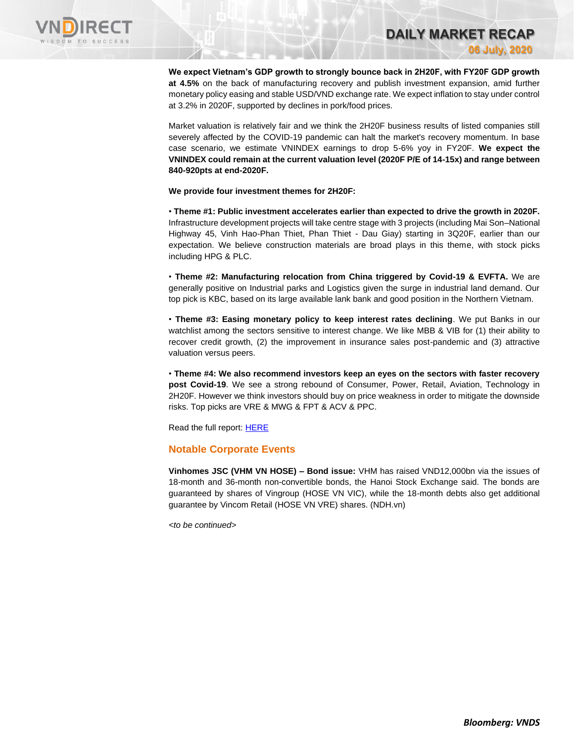

**We expect Vietnam's GDP growth to strongly bounce back in 2H20F, with FY20F GDP growth at 4.5%** on the back of manufacturing recovery and publish investment expansion, amid further monetary policy easing and stable USD/VND exchange rate. We expect inflation to stay under control at 3.2% in 2020F, supported by declines in pork/food prices.

**DAILY MARKET RECAP** 

**06 July, 2020**

Market valuation is relatively fair and we think the 2H20F business results of listed companies still severely affected by the COVID-19 pandemic can halt the market's recovery momentum. In base case scenario, we estimate VNINDEX earnings to drop 5-6% yoy in FY20F. **We expect the VNINDEX could remain at the current valuation level (2020F P/E of 14-15x) and range between 840-920pts at end-2020F.**

**We provide four investment themes for 2H20F:**

• **Theme #1: Public investment accelerates earlier than expected to drive the growth in 2020F.** Infrastructure development projects will take centre stage with 3 projects (including Mai Son–National Highway 45, Vinh Hao-Phan Thiet, Phan Thiet - Dau Giay) starting in 3Q20F, earlier than our expectation. We believe construction materials are broad plays in this theme, with stock picks including HPG & PLC.

• **Theme #2: Manufacturing relocation from China triggered by Covid-19 & EVFTA.** We are generally positive on Industrial parks and Logistics given the surge in industrial land demand. Our top pick is KBC, based on its large available lank bank and good position in the Northern Vietnam.

• **Theme #3: Easing monetary policy to keep interest rates declining**. We put Banks in our watchlist among the sectors sensitive to interest change. We like MBB & VIB for (1) their ability to recover credit growth, (2) the improvement in insurance sales post-pandemic and (3) attractive valuation versus peers.

• **Theme #4: We also recommend investors keep an eyes on the sectors with faster recovery post Covid-19**. We see a strong rebound of Consumer, Power, Retail, Aviation, Technology in 2H20F. However we think investors should buy on price weakness in order to mitigate the downside risks. Top picks are VRE & MWG & FPT & ACV & PPC.

Read the full report[: HERE](https://nhanha-public-api.vndirect.com.vn/click/OGE0ODlmZDA2ODYwMjZlMjAxNjg5OGJlM2IzNDMxODU=/YjYzNDI5YzAxMTA3NGMzZjhlOGE0OTkwYWI1MzYxOTY=/b63429c011074c3f8e8a4990ab536196-Vietnam_Navigating_2H2020_20200703.pdf/cmVzZWFyY2hAdm5kaXJlY3QuY29tLnZu/MTk5MTk=)

## **Notable Corporate Events**

**Vinhomes JSC (VHM VN HOSE) – Bond issue:** VHM has raised VND12,000bn via the issues of 18-month and 36-month non-convertible bonds, the Hanoi Stock Exchange said. The bonds are guaranteed by shares of Vingroup (HOSE VN VIC), while the 18-month debts also get additional guarantee by Vincom Retail (HOSE VN VRE) shares. (NDH.vn)

*<to be continued>*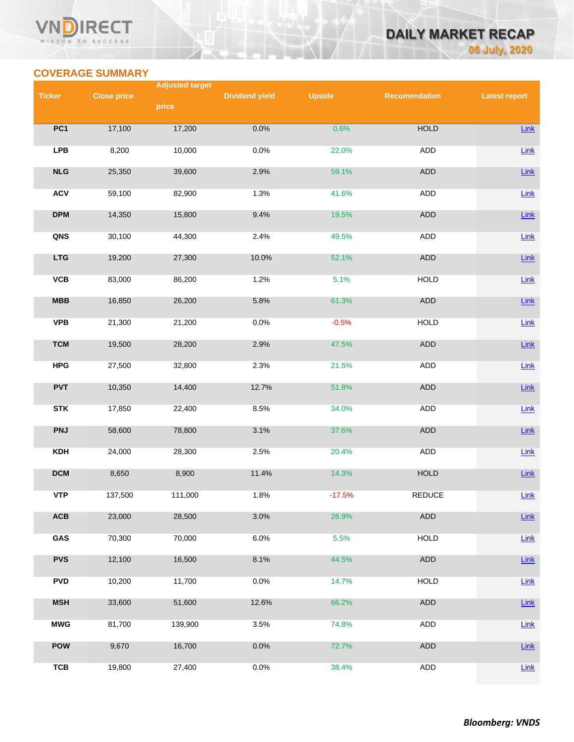## VN **RECT** WISDOM TO SUCCESS

# **DAILY MARKET RECAP 06 July, 2020**

# **COVERAGE SUMMARY**

|               |                    | <b>Adjusted target</b> |                       |               |                      |                      |
|---------------|--------------------|------------------------|-----------------------|---------------|----------------------|----------------------|
| <b>Ticker</b> | <b>Close price</b> |                        | <b>Dividend yield</b> | <b>Upside</b> | <b>Recomendation</b> | <b>Latest report</b> |
|               |                    | price                  |                       |               |                      |                      |
| PC1           | 17,100             | 17,200                 | 0.0%                  | 0.6%          | <b>HOLD</b>          | Link                 |
|               |                    |                        |                       |               |                      |                      |
| <b>LPB</b>    | 8,200              | 10,000                 | 0.0%                  | 22.0%         | ADD                  | $Link$               |
| NLG           | 25,350             | 39,600                 | 2.9%                  | 59.1%         | <b>ADD</b>           | Link                 |
| <b>ACV</b>    | 59,100             | 82,900                 | 1.3%                  | 41.6%         | <b>ADD</b>           | $Link$               |
| <b>DPM</b>    | 14,350             | 15,800                 | 9.4%                  | 19.5%         | <b>ADD</b>           | Link                 |
| QNS           | 30,100             | 44,300                 | 2.4%                  | 49.5%         | ADD                  | $Link$               |
| <b>LTG</b>    | 19,200             | 27,300                 | 10.0%                 | 52.1%         | ADD                  | Link                 |
| VCB           | 83,000             | 86,200                 | 1.2%                  | 5.1%          | <b>HOLD</b>          | Link                 |
| MBB           | 16,850             | 26,200                 | 5.8%                  | 61.3%         | <b>ADD</b>           | Link                 |
| <b>VPB</b>    | 21,300             | 21,200                 | 0.0%                  | $-0.5%$       | <b>HOLD</b>          | Link                 |
| <b>TCM</b>    | 19,500             | 28,200                 | 2.9%                  | 47.5%         | <b>ADD</b>           | Link                 |
| <b>HPG</b>    | 27,500             | 32,800                 | 2.3%                  | 21.5%         | ADD                  | <b>Link</b>          |
| <b>PVT</b>    | 10,350             | 14,400                 | 12.7%                 | 51.8%         | ADD                  | Link                 |
| <b>STK</b>    | 17,850             | 22,400                 | 8.5%                  | 34.0%         | ADD                  | $Link$               |
| <b>PNJ</b>    | 58,600             | 78,800                 | 3.1%                  | 37.6%         | ADD                  | <b>Link</b>          |
| <b>KDH</b>    | 24,000             | 28,300                 | 2.5%                  | 20.4%         | <b>ADD</b>           | Link                 |
| <b>DCM</b>    | 8,650              | 8,900                  | 11.4%                 | 14.3%         | <b>HOLD</b>          | <b>Link</b>          |
| <b>VTP</b>    | 137,500            | 111,000                | 1.8%                  | $-17.5%$      | <b>REDUCE</b>        | Link                 |
| ACB           | 23,000             | 28,500                 | 3.0%                  | 26.9%         | <b>ADD</b>           | Link                 |
| GAS           | 70,300             | 70,000                 | 6.0%                  | 5.5%          | <b>HOLD</b>          | <b>Link</b>          |
| <b>PVS</b>    | 12,100             | 16,500                 | 8.1%                  | 44.5%         | ADD                  | <b>Link</b>          |
| <b>PVD</b>    | 10,200             | 11,700                 | 0.0%                  | 14.7%         | <b>HOLD</b>          | Link                 |
| <b>MSH</b>    | 33,600             | 51,600                 | 12.6%                 | 66.2%         | ADD                  | Link                 |
| <b>MWG</b>    | 81,700             | 139,900                | 3.5%                  | 74.8%         | ADD                  | <b>Link</b>          |
| <b>POW</b>    | 9,670              | 16,700                 | 0.0%                  | 72.7%         | ADD                  | Link                 |
| <b>TCB</b>    | 19,800             | 27,400                 | 0.0%                  | 38.4%         | ADD                  | <b>Link</b>          |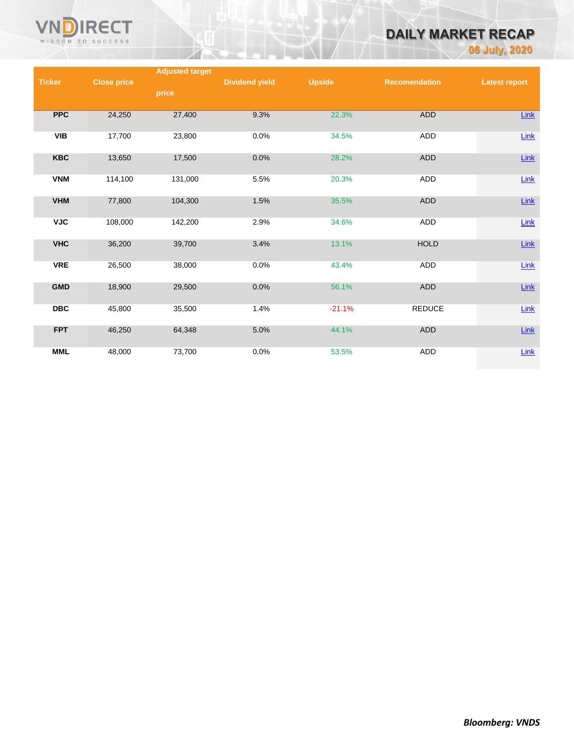

# **DAILY MARKET RECAP**

**06 July, 2020**

|               |                    | <b>Adjusted target</b> |                       |               |                      |                      |
|---------------|--------------------|------------------------|-----------------------|---------------|----------------------|----------------------|
| <b>Ticker</b> | <b>Close price</b> |                        | <b>Dividend yield</b> | <b>Upside</b> | <b>Recomendation</b> | <b>Latest report</b> |
|               |                    | price                  |                       |               |                      |                      |
|               |                    |                        |                       |               |                      |                      |
| <b>PPC</b>    | 24,250             | 27,400                 | 9.3%                  | 22.3%         | ADD                  | <b>Link</b>          |
|               |                    |                        |                       |               |                      |                      |
| <b>VIB</b>    | 17,700             | 23,800                 | 0.0%                  | 34.5%         | ADD                  | Link                 |
| <b>KBC</b>    | 13,650             | 17,500                 | 0.0%                  | 28.2%         | ADD                  | $Link$               |
|               |                    |                        |                       |               |                      |                      |
| <b>VNM</b>    | 114,100            | 131,000                | 5.5%                  | 20.3%         | ADD                  | Link                 |
|               |                    |                        |                       |               |                      |                      |
| <b>VHM</b>    | 77,800             | 104,300                | 1.5%                  | 35.5%         | ADD                  | $Link$               |
|               |                    |                        |                       |               |                      |                      |
| <b>VJC</b>    | 108,000            | 142,200                | 2.9%                  | 34.6%         | ADD                  | $Link$               |
| <b>VHC</b>    | 36,200             | 39,700                 | 3.4%                  | 13.1%         | <b>HOLD</b>          | $Link$               |
|               |                    |                        |                       |               |                      |                      |
| <b>VRE</b>    | 26,500             | 38,000                 | 0.0%                  | 43.4%         | ADD                  | Link                 |
|               |                    |                        |                       |               |                      |                      |
| <b>GMD</b>    | 18,900             | 29,500                 | 0.0%                  | 56.1%         | ADD                  | Link                 |
|               |                    |                        |                       |               |                      |                      |
| <b>DBC</b>    | 45,800             | 35,500                 | 1.4%                  | $-21.1%$      | <b>REDUCE</b>        | Link                 |
|               |                    |                        |                       |               |                      |                      |
| <b>FPT</b>    | 46,250             | 64,348                 | 5.0%                  | 44.1%         | ADD                  | <b>Link</b>          |
|               |                    |                        |                       |               |                      |                      |
| <b>MML</b>    | 48,000             | 73,700                 | 0.0%                  | 53.5%         | ADD                  | Link                 |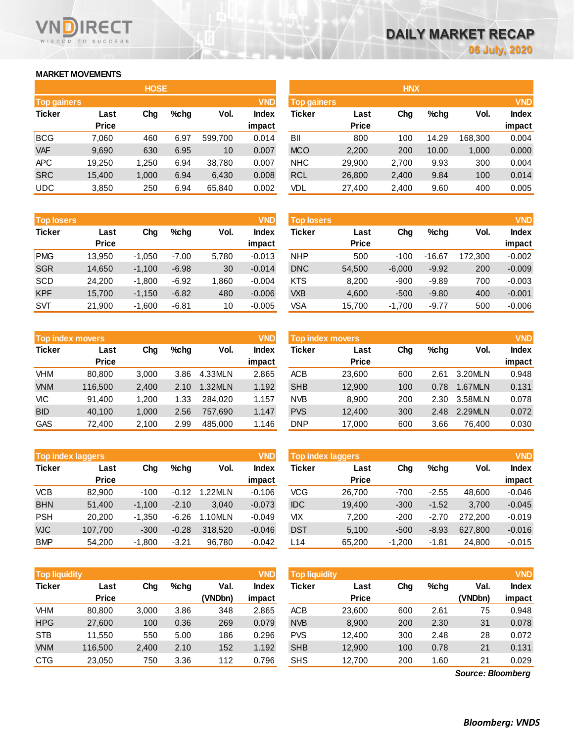# **MARKET MOVEMENTS**

WISDOM TO SUCCESS

**RECT** 

|                    | <b>HOSE</b>  |       |      |         |              |  |  |  |  |  |
|--------------------|--------------|-------|------|---------|--------------|--|--|--|--|--|
| <b>Top gainers</b> |              |       |      |         | <b>VND</b>   |  |  |  |  |  |
| <b>Ticker</b>      | Last         | Cha   | %chq | Vol.    | <b>Index</b> |  |  |  |  |  |
|                    | <b>Price</b> |       |      |         | impact       |  |  |  |  |  |
| <b>BCG</b>         | 7,060        | 460   | 6.97 | 599,700 | 0.014        |  |  |  |  |  |
| <b>VAF</b>         | 9,690        | 630   | 6.95 | 10      | 0.007        |  |  |  |  |  |
| <b>APC</b>         | 19,250       | 1,250 | 6.94 | 38,780  | 0.007        |  |  |  |  |  |
| <b>SRC</b>         | 15,400       | 1,000 | 6.94 | 6,430   | 0.008        |  |  |  |  |  |
| <b>UDC</b>         | 3,850        | 250   | 6.94 | 65,840  | 0.002        |  |  |  |  |  |

| <b>Top losers</b> |              |          |         |       | <b>VND</b>   |
|-------------------|--------------|----------|---------|-------|--------------|
| <b>Ticker</b>     | Last         | Cha      | %chq    | Vol.  | <b>Index</b> |
|                   | <b>Price</b> |          |         |       | impact       |
| <b>PMG</b>        | 13,950       | $-1,050$ | $-7.00$ | 5,780 | $-0.013$     |
| <b>SGR</b>        | 14,650       | $-1,100$ | $-6.98$ | 30    | $-0.014$     |
| <b>SCD</b>        | 24,200       | $-1,800$ | $-6.92$ | 1,860 | $-0.004$     |
| <b>KPF</b>        | 15,700       | $-1,150$ | $-6.82$ | 480   | $-0.006$     |
| <b>SVT</b>        | 21,900       | $-1,600$ | $-6.81$ | 10    | $-0.005$     |

| <b>Top index movers</b> |              |       |      |         |              |  |  |  |  |
|-------------------------|--------------|-------|------|---------|--------------|--|--|--|--|
| <b>Ticker</b>           | Last         | Cha   | %chq | Vol.    | <b>Index</b> |  |  |  |  |
|                         | <b>Price</b> |       |      |         | impact       |  |  |  |  |
| <b>VHM</b>              | 80,800       | 3,000 | 3.86 | 4.33MLN | 2.865        |  |  |  |  |
| <b>VNM</b>              | 116,500      | 2,400 | 2.10 | 1.32MLN | 1.192        |  |  |  |  |
| VIС                     | 91,400       | 1,200 | 1.33 | 284.020 | 1.157        |  |  |  |  |
| <b>BID</b>              | 40,100       | 1,000 | 2.56 | 757,690 | 1.147        |  |  |  |  |
| <b>GAS</b>              | 72,400       | 2,100 | 2.99 | 485.000 | 1.146        |  |  |  |  |

| <b>Top index laggers</b> |              |          |         |         |              |  |  |  |  |
|--------------------------|--------------|----------|---------|---------|--------------|--|--|--|--|
| <b>Ticker</b>            | Last         | Cha      | %chq    | Vol.    | <b>Index</b> |  |  |  |  |
|                          | <b>Price</b> |          |         |         | impact       |  |  |  |  |
| <b>VCB</b>               | 82,900       | $-100$   | $-0.12$ | 1.22MLN | $-0.106$     |  |  |  |  |
| <b>BHN</b>               | 51,400       | $-1,100$ | $-2.10$ | 3.040   | $-0.073$     |  |  |  |  |
| <b>PSH</b>               | 20,200       | $-1,350$ | $-6.26$ | 1.10MLN | $-0.049$     |  |  |  |  |
| <b>VJC</b>               | 107,700      | $-300$   | $-0.28$ | 318,520 | $-0.046$     |  |  |  |  |
| <b>BMP</b>               | 54,200       | $-1,800$ | $-3.21$ | 96,780  | $-0.042$     |  |  |  |  |

|                    |              | <b>HOSE</b> |         |         |              |                    |              | <b>HNX</b> |         |         |              |
|--------------------|--------------|-------------|---------|---------|--------------|--------------------|--------------|------------|---------|---------|--------------|
| <b>Top gainers</b> |              |             |         |         | <b>VND</b>   | <b>Top gainers</b> |              |            |         |         | <b>VND</b>   |
| Ticker             | Last         | Chg         | $%$ chg | Vol.    | <b>Index</b> | Ticker             | Last         | Chg        | $%$ chg | Vol.    | <b>Index</b> |
|                    | <b>Price</b> |             |         |         | impact       |                    | <b>Price</b> |            |         |         | impact       |
| BCG                | 7.060        | 460         | 6.97    | 599.700 | 0.014        | BII                | 800          | 100        | 14.29   | 168.300 | 0.004        |
| <b>VAF</b>         | 9,690        | 630         | 6.95    | 10      | 0.007        | <b>MCO</b>         | 2,200        | 200        | 10.00   | 1,000   | 0.000        |
| APC                | 19.250       | 1.250       | 6.94    | 38,780  | 0.007        | <b>NHC</b>         | 29,900       | 2,700      | 9.93    | 300     | 0.004        |
| <b>SRC</b>         | 15,400       | 1,000       | 6.94    | 6,430   | 0.008        | <b>RCL</b>         | 26,800       | 2,400      | 9.84    | 100     | 0.014        |
| UDC                | 3,850        | 250         | 6.94    | 65,840  | 0.002        | VDL                | 27,400       | 2,400      | 9.60    | 400     | 0.005        |

| <b>Top losers</b> |              |          |         |       | <b>VND</b>   | <b>Top losers</b> |              |          |          |         | <b>VND</b>   |
|-------------------|--------------|----------|---------|-------|--------------|-------------------|--------------|----------|----------|---------|--------------|
| Ticker            | Last         | Chg      | %chg    | Vol.  | <b>Index</b> | Ticker            | Last         | Chg      | %chg     | Vol.    | <b>Index</b> |
|                   | <b>Price</b> |          |         |       | impact       |                   | <b>Price</b> |          |          |         | impact       |
| <b>PMG</b>        | 13.950       | $-1,050$ | $-7.00$ | 5,780 | $-0.013$     | <b>NHP</b>        | 500          | $-100$   | $-16.67$ | 172.300 | $-0.002$     |
| <b>SGR</b>        | 14,650       | $-1,100$ | $-6.98$ | 30    | $-0.014$     | <b>DNC</b>        | 54,500       | $-6,000$ | $-9.92$  | 200     | $-0.009$     |
| SCD               | 24.200       | $-1,800$ | $-6.92$ | 1.860 | $-0.004$     | <b>KTS</b>        | 8,200        | $-900$   | $-9.89$  | 700     | $-0.003$     |
| <b>KPF</b>        | 15,700       | $-1,150$ | $-6.82$ | 480   | $-0.006$     | <b>VXB</b>        | 4,600        | $-500$   | $-9.80$  | 400     | $-0.001$     |
| SVT               | 21,900       | $-1,600$ | $-6.81$ | 10    | $-0.005$     | VSA               | 15,700       | $-1,700$ | $-9.77$  | 500     | $-0.006$     |
|                   |              |          |         |       |              |                   |              |          |          |         |              |

|            | <b>Top index movers</b> |       |         |         | <b>VND</b>   | Top index movers |              |     |         |         |              |  |
|------------|-------------------------|-------|---------|---------|--------------|------------------|--------------|-----|---------|---------|--------------|--|
| Ticker     | Last                    | Chg   | $%$ chg | Vol.    | <b>Index</b> | Ticker           | Last         | Chg | $%$ chg | Vol.    | <b>Index</b> |  |
|            | <b>Price</b>            |       |         |         | impact       |                  | <b>Price</b> |     |         |         | impact       |  |
| VHM        | 80.800                  | 3.000 | 3.86    | 4.33MLN | 2.865        | <b>ACB</b>       | 23,600       | 600 | 2.61    | 3.20MLN | 0.948        |  |
| <b>VNM</b> | 116,500                 | 2.400 | 2.10    | 1.32MLN | 1.192        | <b>SHB</b>       | 12,900       | 100 | 0.78    | 1.67MLN | 0.131        |  |
| VIС        | 91.400                  | 1.200 | 1.33    | 284.020 | 1.157        | <b>NVB</b>       | 8.900        | 200 | 2.30    | 3.58MLN | 0.078        |  |
| <b>BID</b> | 40.100                  | 1.000 | 2.56    | 757.690 | 1.147        | <b>PVS</b>       | 12,400       | 300 | 2.48    | 2.29MLN | 0.072        |  |
| GAS        | 72,400                  | 2,100 | 2.99    | 485.000 | 1.146        | <b>DNP</b>       | 17,000       | 600 | 3.66    | 76.400  | 0.030        |  |
|            |                         |       |         |         |              |                  |              |     |         |         |              |  |

|            | <b>Top index laggers</b> |          |         |         | <b>VND</b>         | Top index laggers |                      |          |         |         |                            |
|------------|--------------------------|----------|---------|---------|--------------------|-------------------|----------------------|----------|---------|---------|----------------------------|
| Ticker     | Last<br><b>Price</b>     | Chg      | $%$ chg | Vol.    | <b>Index</b>       | Ticker            | Last<br><b>Price</b> | Chg      | $%$ chg | Vol.    | <b>VND</b><br><b>Index</b> |
| VCB        | 82,900                   | $-100$   | $-0.12$ | 1.22MLN | impact<br>$-0.106$ | VCG               | 26,700               | $-700$   | $-2.55$ | 48.600  | impact<br>$-0.046$         |
| <b>BHN</b> | 51.400                   | $-1.100$ | $-2.10$ | 3.040   | $-0.073$           | <b>IDC</b>        | 19,400               | $-300$   | $-1.52$ | 3.700   | $-0.045$                   |
| <b>PSH</b> | 20,200                   | $-1.350$ | $-6.26$ | 1.10MLN | $-0.049$           | VIХ               | 7.200                | $-200$   | $-2.70$ | 272.200 | $-0.019$                   |
| <b>VJC</b> | 107.700                  | $-300$   | $-0.28$ | 318,520 | $-0.046$           | <b>DST</b>        | 5,100                | $-500$   | $-8.93$ | 627,800 | $-0.016$                   |
| <b>BMP</b> | 54,200                   | $-1,800$ | $-3.21$ | 96,780  | $-0.042$           | L14               | 65,200               | $-1,200$ | $-1.81$ | 24,800  | $-0.015$                   |

| <b>Top liquidity</b> |              |       |      |         | <b>VND</b>   | <b>Top liquidity</b> |              |     |         |                   | <b>VND</b> |
|----------------------|--------------|-------|------|---------|--------------|----------------------|--------------|-----|---------|-------------------|------------|
| Ticker               | Last         | Chg   | %chq | Val.    | <b>Index</b> | Ticker               | Last         | Chg | $%$ chg | Val.              | Index      |
|                      | <b>Price</b> |       |      | (VNDbn) | impact       |                      | <b>Price</b> |     |         | (VNDbn)           | impact     |
| VHM                  | 80,800       | 3,000 | 3.86 | 348     | 2.865        | <b>ACB</b>           | 23,600       | 600 | 2.61    | 75                | 0.948      |
| <b>HPG</b>           | 27,600       | 100   | 0.36 | 269     | 0.079        | <b>NVB</b>           | 8,900        | 200 | 2.30    | 31                | 0.078      |
| <b>STB</b>           | 11,550       | 550   | 5.00 | 186     | 0.296        | <b>PVS</b>           | 12,400       | 300 | 2.48    | 28                | 0.072      |
| <b>VNM</b>           | 116,500      | 2,400 | 2.10 | 152     | 1.192        | <b>SHB</b>           | 12,900       | 100 | 0.78    | 21                | 0.131      |
| CTG                  | 23,050       | 750   | 3.36 | 112     | 0.796        | <b>SHS</b>           | 12,700       | 200 | 1.60    | 21                | 0.029      |
|                      |              |       |      |         |              |                      |              |     |         | Source: Bloomberg |            |

*Source: Bloomberg*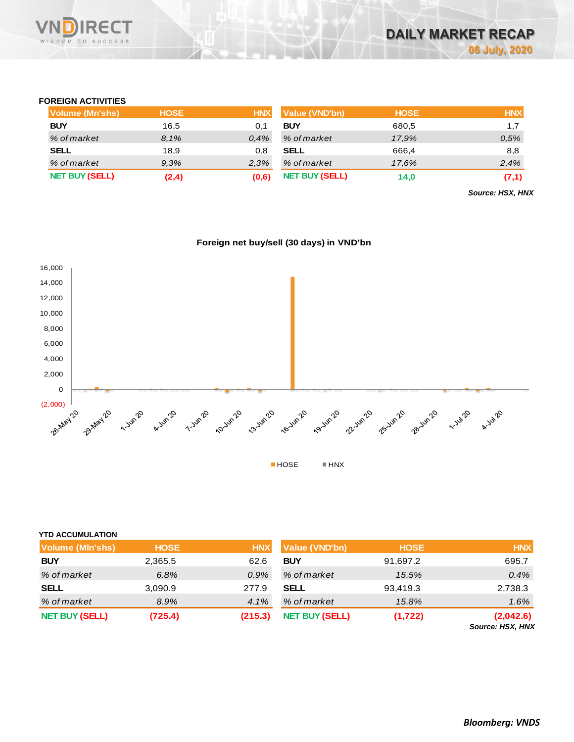

## **FOREIGN ACTIVITIES**

| <b>Volume (Mn'shs)</b> | <b>HOSE</b> | <b>HNX</b> | Value (VND'bn)        | <b>HOSE</b> | <b>HNX</b> |
|------------------------|-------------|------------|-----------------------|-------------|------------|
| <b>BUY</b>             | 16,5        |            | <b>BUY</b>            | 680,5       | 1.7        |
| % of market            | 8.1%        | 0.4%       | % of market           | 17.9%       | 0,5%       |
| <b>SELL</b>            | 18,9        | 0.8        | <b>SELL</b>           | 666.4       | 8,8        |
| % of market            | 9.3%        | 2.3%       | % of market           | 17.6%       | 2,4%       |
| <b>NET BUY (SELL)</b>  | (2,4)       | (0,6)      | <b>NET BUY (SELL)</b> | 14.0        | (7,1)      |

*Source: HSX, HNX*





| <b>YTD ACCUMULATION</b> |             |            |                       |             |                               |
|-------------------------|-------------|------------|-----------------------|-------------|-------------------------------|
| <b>Volume (MIn'shs)</b> | <b>HOSE</b> | <b>HNX</b> | Value (VND'bn)        | <b>HOSE</b> | <b>HNX</b>                    |
| <b>BUY</b>              | 2,365.5     | 62.6       | <b>BUY</b>            | 91,697.2    | 695.7                         |
| % of market             | 6.8%        | 0.9%       | % of market           | 15.5%       | 0.4%                          |
| <b>SELL</b>             | 3,090.9     | 277.9      | <b>SELL</b>           | 93,419.3    | 2,738.3                       |
| % of market             | 8.9%        | 4.1%       | % of market           | 15.8%       | 1.6%                          |
| <b>NET BUY (SELL)</b>   | (725.4)     | (215.3)    | <b>NET BUY (SELL)</b> | (1, 722)    | (2,042.6)<br>Source: HSX, HNX |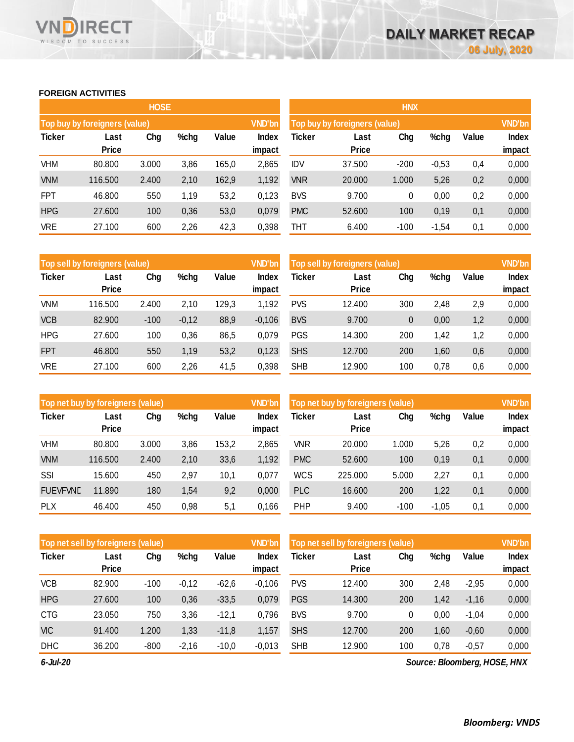# **FOREIGN ACTIVITIES**

WISDOM TO SUCCESS

RECT

|               |                               | <b>HOSE</b> |      |       |                 | <b>HNX</b>                    |                      |               |         |       |                 |  |  |
|---------------|-------------------------------|-------------|------|-------|-----------------|-------------------------------|----------------------|---------------|---------|-------|-----------------|--|--|
|               | Top buy by foreigners (value) |             |      |       | <b>VND'bn</b>   | Top buy by foreigners (value) |                      | <b>VND'bn</b> |         |       |                 |  |  |
| <b>Ticker</b> | Last<br><b>Price</b>          | Chg         | %chg | Value | Index<br>impact | Ticker                        | Last<br><b>Price</b> | Chg           | %chg    | Value | Index<br>impact |  |  |
| VHM           | 80.800                        | 3.000       | 3,86 | 165,0 | 2,865           | <b>IDV</b>                    | 37.500               | $-200$        | $-0,53$ | 0,4   | 0,000           |  |  |
| <b>VNM</b>    | 116.500                       | 2.400       | 2,10 | 162,9 | 1,192           | <b>VNR</b>                    | 20.000               | 1.000         | 5,26    | 0,2   | 0,000           |  |  |
| <b>FPT</b>    | 46.800                        | 550         | 1,19 | 53,2  | 0,123           | <b>BVS</b>                    | 9.700                | 0             | 0,00    | 0,2   | 0,000           |  |  |
| <b>HPG</b>    | 27.600                        | 100         | 0,36 | 53,0  | 0,079           | <b>PMC</b>                    | 52.600               | 100           | 0,19    | 0,1   | 0,000           |  |  |
| <b>VRE</b>    | 27.100                        | 600         | 2,26 | 42,3  | 0,398           | THT                           | 6.400                | $-100$        | $-1,54$ | 0,1   | 0,000           |  |  |

|               | Top sell by foreigners (value) |        |         |       |                 | Top sell by foreigners (value) |                      | <b>VND'bn</b> |      |       |                        |
|---------------|--------------------------------|--------|---------|-------|-----------------|--------------------------------|----------------------|---------------|------|-------|------------------------|
| <b>Ticker</b> | Last<br><b>Price</b>           | Chg    | %chg    | Value | Index<br>impact | Ticker                         | Last<br><b>Price</b> | Chg           | %chg | Value | <b>Index</b><br>impact |
| VNM           | 116.500                        | 2.400  | 2.10    | 129,3 | 1,192           | <b>PVS</b>                     | 12.400               | 300           | 2.48 | 2,9   | 0,000                  |
| <b>VCB</b>    | 82.900                         | $-100$ | $-0,12$ | 88,9  | $-0,106$        | <b>BVS</b>                     | 9.700                | 0             | 0,00 | 1,2   | 0,000                  |
| <b>HPG</b>    | 27.600                         | 100    | 0,36    | 86,5  | 0,079           | <b>PGS</b>                     | 14.300               | 200           | 1.42 | 1.2   | 0,000                  |
| <b>FPT</b>    | 46.800                         | 550    | 1,19    | 53,2  | 0,123           | <b>SHS</b>                     | 12.700               | 200           | 1,60 | 0,6   | 0,000                  |
| <b>VRE</b>    | 27.100                         | 600    | 2,26    | 41,5  | 0,398           | <b>SHB</b>                     | 12.900               | 100           | 0,78 | 0,6   | 0,000                  |

|                 | Top net buy by foreigners (value) |       |      |       | <b>VND'bn</b>   | Top net buy by foreigners (value) |                      | <b>VND'bn</b> |         |       |                 |
|-----------------|-----------------------------------|-------|------|-------|-----------------|-----------------------------------|----------------------|---------------|---------|-------|-----------------|
| <b>Ticker</b>   | Last<br><b>Price</b>              | Chg   | %chg | Value | Index<br>impact | <b>Ticker</b>                     | Last<br><b>Price</b> | Chg           | %chg    | Value | Index<br>impact |
| VHM             | 80.800                            | 3.000 | 3,86 | 153,2 | 2,865           | <b>VNR</b>                        | 20.000               | 1.000         | 5,26    | 0,2   | 0,000           |
|                 |                                   |       |      |       |                 |                                   |                      |               |         |       |                 |
| <b>VNM</b>      | 116,500                           | 2.400 | 2,10 | 33,6  | 1,192           | <b>PMC</b>                        | 52.600               | 100           | 0,19    | 0,1   | 0,000           |
| SSI             | 15.600                            | 450   | 2,97 | 10,1  | 0,077           | <b>WCS</b>                        | 225.000              | 5.000         | 2.27    | 0,1   | 0,000           |
| <b>FUEVFVND</b> | 11.890                            | 180   | 1,54 | 9,2   | 0,000           | <b>PLC</b>                        | 16.600               | 200           | 1,22    | 0,1   | 0,000           |
| <b>PLX</b>      | 46.400                            | 450   | 0,98 | 5,1   | 0,166           | <b>PHP</b>                        | 9.400                | $-100$        | $-1.05$ | 0,1   | 0.000           |

|               | Top net sell by foreigners (value) |        |         |         |                 | Top net sell by foreigners (value) |                      |     |      |         | <b>VND'bn</b>          |
|---------------|------------------------------------|--------|---------|---------|-----------------|------------------------------------|----------------------|-----|------|---------|------------------------|
| <b>Ticker</b> | Last<br><b>Price</b>               | Chg    | %chg    | Value   | Index<br>impact | Ticker                             | Last<br><b>Price</b> | Chg | %chg | Value   | <b>Index</b><br>impact |
| <b>VCB</b>    | 82.900                             | $-100$ | $-0,12$ | $-62,6$ | $-0,106$        | <b>PVS</b>                         | 12.400               | 300 | 2,48 | $-2,95$ | 0,000                  |
| <b>HPG</b>    | 27.600                             | 100    | 0,36    | $-33,5$ | 0,079           | <b>PGS</b>                         | 14.300               | 200 | 1,42 | $-1,16$ | 0,000                  |
| <b>CTG</b>    | 23.050                             | 750    | 3,36    | $-12.1$ | 0,796           | <b>BVS</b>                         | 9.700                | 0   | 0.00 | $-1,04$ | 0,000                  |
| <b>VIC</b>    | 91.400                             | 1.200  | 1,33    | $-11.8$ | 1,157           | <b>SHS</b>                         | 12.700               | 200 | 1,60 | $-0,60$ | 0,000                  |
| <b>DHC</b>    | 36.200                             | $-800$ | $-2,16$ | $-10,0$ | $-0,013$        | <b>SHB</b>                         | 12.900               | 100 | 0,78 | $-0,57$ | 0,000                  |

*6-Jul-20*

*Source: Bloomberg, HOSE, HNX*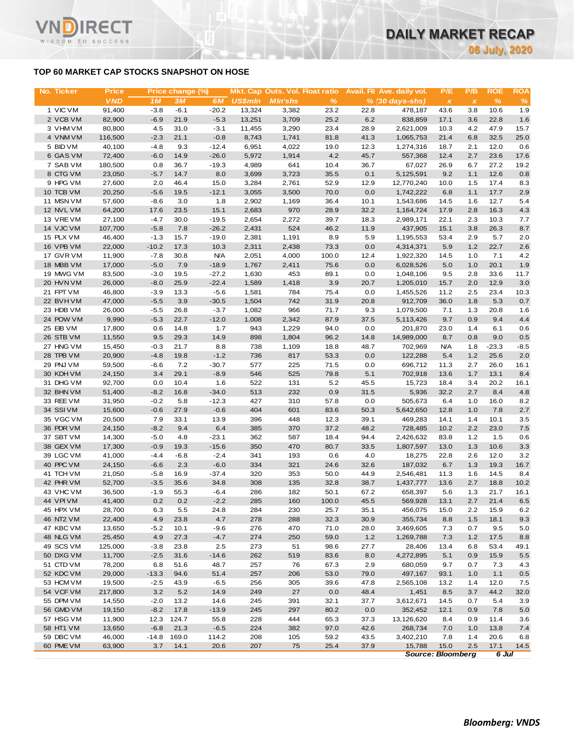# **TOP 60 MARKET CAP STOCKS SNAPSHOT ON HOSE**

T.

WISDOM TO SUCCESS

| No. Ticker             | <b>Price</b>      |                  | Price change (%) |                    |                |                | Mkt. Cap Outs. Vol. Float ratio |              | Avail. Fil Ave. daily vol. | P/E          | P/B          | <b>ROE</b>   | <b>ROA</b>  |
|------------------------|-------------------|------------------|------------------|--------------------|----------------|----------------|---------------------------------|--------------|----------------------------|--------------|--------------|--------------|-------------|
|                        | <b>VND</b>        | 1M               | 3M               | 6M                 | <b>US\$mln</b> | <b>MIn'shs</b> | %                               |              | $% (30 days-shs)$          | $\pmb{\chi}$ | $\pmb{\chi}$ | $\%$         | %           |
| 1 VIC VM               | 91,400            | $-3.8$           | $-6.1$           | $-20.2$            | 13,324         | 3,382          | 23.2                            | 22.8         | 478,187                    | 43.6         | 3.8          | 10.6         | 1.9         |
| 2 VCB VM               | 82,900            | $-6.9$           | 21.9             | $-5.3$             | 13,251         | 3,709          | 25.2                            | 6.2          | 838,859                    | 17.1         | 3.6          | 22.8         | 1.6         |
| 3 VHM VM               | 80,800            | 4.5              | 31.0             | $-3.1$             | 11,455         | 3,290          | 23.4                            | 28.9         | 2,621,009                  | 10.3         | 4.2          | 47.9         | 15.7        |
| 4 VNM VM               | 116,500           | $-2.3$           | 21.1             | $-0.8$             | 8,743          | 1,741          | 81.8                            | 41.3         | 1,065,753                  | 21.4         | 6.8          | 32.5         | 25.0        |
| 5 BID VM               | 40,100            | $-4.8$           | 9.3              | $-12.4$            | 6,951          | 4,022          | 19.0                            | 12.3         | 1,274,316                  | 18.7         | 2.1          | 12.0         | 0.6         |
| 6 GAS VM<br>7 SAB VM   | 72,400<br>180,500 | $-6.0$<br>0.8    | 14.9<br>36.7     | $-26.0$<br>$-19.3$ | 5,972<br>4,989 | 1,914<br>641   | 4.2<br>10.4                     | 45.7<br>36.7 | 557,368<br>67,027          | 12.4<br>26.9 | 2.7<br>6.7   | 23.6<br>27.2 | 17.6        |
| 8 CTG VM               | 23,050            | $-5.7$           | 14.7             | 8.0                | 3,699          | 3,723          | 35.5                            | 0.1          | 5,125,591                  | 9.2          | 1.1          | 12.6         | 19.2<br>0.8 |
| 9 HPG VM               | 27,600            | 2.0              | 46.4             | 15.0               | 3,284          | 2,761          | 52.9                            | 12.9         | 12,770,240                 | 10.0         | 1.5          | 17.4         | 8.3         |
| 10 TCB VM              | 20,250            | $-5.6$           | 19.5             | $-12.1$            | 3,055          | 3,500          | 70.0                            | 0.0          | 1,742,222                  | 6.8          | 1.1          | 17.7         | 2.9         |
| 11 MSN VM              | 57,600            | $-8.6$           | 3.0              | 1.8                | 2,902          | 1,169          | 36.4                            | 10.1         | 1,543,686                  | 14.5         | 1.6          | 12.7         | 5.4         |
| 12 NVL VM              | 64,200            | 17.6             | 23.5             | 15.1               | 2,683          | 970            | 28.9                            | 32.2         | 1,164,724                  | 17.9         | 2.8          | 16.3         | 4.3         |
| 13 VREVM               | 27,100            | $-4.7$           | 30.0             | $-19.5$            | 2,654          | 2,272          | 39.7                            | 18.3         | 2,989,171                  | 22.1         | 2.3          | 10.3         | 7.7         |
| 14 VJC VM              | 107,700           | $-5.8$           | 7.8              | $-26.2$            | 2,431          | 524            | 46.2                            | 11.9         | 437,905                    | 15.1         | 3.8          | 26.3         | 8.7         |
| 15 PLX VM              | 46,400            | $-1.3$           | 15.7             | $-19.0$            | 2,381          | 1,191          | 8.9                             | 5.9          | 1,195,553                  | 53.4         | 2.9          | 5.7          | 2.0         |
| 16 VPB VM              | 22,000            | $-10.2$          | 17.3             | 10.3               | 2,311          | 2,438          | 73.3                            | 0.0          | 4,314,371                  | 5.9          | 1.2          | 22.7         | 2.6         |
| 17 GVR VM              | 11,900            | $-7.8$           | 30.8             | <b>N/A</b>         | 2,051          | 4,000          | 100.0                           | 12.4         | 1,922,320                  | 14.5         | 1.0          | 7.1          | 4.2         |
| 18 MBB VM              | 17,000            | $-5.0$           | 7.9              | $-18.9$            | 1,767          | 2,411          | 75.6                            | 0.0          | 6,028,526                  | 5.0          | 1.0          | 20.1         | 1.9         |
| 19 MWG VM              | 83,500            | $-3.0$           | 19.5             | $-27.2$            | 1,630          | 453            | 89.1                            | 0.0          | 1,048,106                  | 9.5          | 2.8          | 33.6         | 11.7        |
| 20 HVN VM<br>21 FPT VM | 26,000            | $-8.0$           | 25.9             | $-22.4$            | 1,589          | 1,418          | 3.9                             | 20.7         | 1,205,010                  | 15.7         | 2.0          | 12.9<br>23.4 | 3.0         |
| 22 BVHVM               | 46,800<br>47,000  | $-3.9$<br>$-5.5$ | 13.3<br>3.9      | $-5.6$<br>$-30.5$  | 1,581<br>1,504 | 784<br>742     | 75.4<br>31.9                    | 0.0<br>20.8  | 1,455,526<br>912,709       | 11.2<br>36.0 | 2.5<br>1.8   | 5.3          | 10.3<br>0.7 |
| 23 HDB VM              | 26,000            | $-5.5$           | 26.8             | $-3.7$             | 1,082          | 966            | 71.7                            | 9.3          | 1,079,500                  | 7.1          | 1.3          | 20.8         | 1.6         |
| 24 POW VM              | 9,990             | $-5.3$           | 22.7             | $-12.0$            | 1,008          | 2,342          | 87.9                            | 37.5         | 5,113,426                  | 9.7          | 0.9          | 9.4          | 4.4         |
| 25 EIB VM              | 17,800            | 0.6              | 14.8             | 1.7                | 943            | 1,229          | 94.0                            | 0.0          | 201,870                    | 23.0         | 1.4          | 6.1          | 0.6         |
| 26 STB VM              | 11,550            | 9.5              | 29.3             | 14.9               | 898            | 1,804          | 96.2                            | 14.8         | 14,989,000                 | 8.7          | 0.8          | 9.0          | 0.5         |
| 27 HNG VM              | 15,450            | $-0.3$           | 21.7             | 8.8                | 738            | 1,109          | 18.8                            | 48.7         | 702,969                    | <b>N/A</b>   | 1.8          | $-23.3$      | $-8.5$      |
| 28 TPB VM              | 20,900            | $-4.8$           | 19.8             | $-1.2$             | 736            | 817            | 53.3                            | 0.0          | 122,288                    | 5.4          | 1.2          | 25.6         | 2.0         |
| 29 PNJ VM              | 59,500            | $-6.6$           | 7.2              | $-30.7$            | 577            | 225            | 71.5                            | 0.0          | 696,712                    | 11.3         | 2.7          | 26.0         | 16.1        |
| 30 KDH VM              | 24,150            | 3.4              | 29.1             | $-8.9$             | 546            | 525            | 79.8                            | 5.1          | 702,918                    | 13.6         | 1.7          | 13.1         | 8.4         |
| 31 DHG VM              | 92,700            | 0.0              | 10.4             | 1.6                | 522            | 131            | 5.2                             | 45.5         | 15,723                     | 18.4         | 3.4          | 20.2         | 16.1        |
| 32 BHN VM              | 51,400            | $-8.2$           | 16.8             | $-34.0$            | 513            | 232            | 0.9                             | 31.5         | 5,936                      | 32.2         | 2.7          | 8.4          | 4.8         |
| 33 REE VM              | 31,950            | $-0.2$           | 5.8              | $-12.3$            | 427            | 310            | 57.8                            | 0.0          | 505,673                    | 6.4          | 1.0          | 16.0         | 8.2         |
| 34 SSIVM<br>35 VGC VM  | 15,600<br>20,500  | $-0.6$<br>7.9    | 27.9<br>33.1     | $-0.6$<br>13.9     | 404<br>396     | 601<br>448     | 83.6<br>12.3                    | 50.3<br>39.1 | 5,642,650<br>469,283       | 12.8<br>14.1 | 1.0<br>1.4   | 7.8<br>10.1  | 2.7<br>3.5  |
| 36 PDR VM              | 24,150            | $-8.2$           | 9.4              | 6.4                | 385            | 370            | 37.2                            | 48.2         | 728,485                    | 10.2         | 2.2          | 23.0         | 7.5         |
| 37 SBT VM              | 14,300            | $-5.0$           | 4.8              | $-23.1$            | 362            | 587            | 18.4                            | 94.4         | 2,426,632                  | 83.8         | 1.2          | 1.5          | 0.6         |
| 38 GEX VM              | 17,300            | $-0.9$           | 19.3             | $-15.6$            | 350            | 470            | 80.7                            | 33.5         | 1,807,597                  | 13.0         | 1.3          | 10.6         | 3.3         |
| 39 LGC VM              | 41,000            | $-4.4$           | $-6.8$           | $-2.4$             | 341            | 193            | 0.6                             | 4.0          | 18,275                     | 22.8         | 2.6          | 12.0         | 3.2         |
| 40 PPC VM              | 24,150            | $-6.6$           | 2.3              | $-6.0$             | 334            | 321            | 24.6                            | 32.6         | 187,032                    | 6.7          | 1.3          | 19.3         | 16.7        |
| 41 TCH VM              | 21,050            | $-5.8$           | 16.9             | 37.4               | 320            | 353            | 50.0                            | 44.9         | 2,546,481                  | 11.3         | 1.6          | 14.5         | 8.4         |
| 42 PHR VM              | 52,700            | $-3.5$           | 35.6             | 34.8               | 308            | 135            | 32.8                            | 38.7         | 1,437,777                  | 13.6         | 2.7          | 18.8         | 10.2        |
| 43 VHC VM              | 36,500            | $-1.9$           | 55.3             | $-6.4$             | 286            | 182            | 50.1                            | 67.2         | 658,397                    | 5.6          | 1.3          | 21.7         | 16.1        |
| 44 VPI VM              | 41,400            | 0.2              | 0.2              | $-2.2$             | 285            | 160            | 100.0                           | 45.5         | 569,928                    | 13.1         | 2.7          | 21.4         | 6.5         |
| 45 HPX VM              | 28,700            | 6.3              | 5.5              | 24.8               | 284            | 230            | 25.7                            | 35.1         | 456,075                    | 15.0         | 2.2          | 15.9         | 6.2         |
| 46 NT2 VM              | 22,400            | 4.9              | 23.8             | 4.7                | 278            | 288            | 32.3                            | 30.9         | 355,734                    | 8.8          | $1.5$        | 18.1         | 9.3         |
| 47 KBC VM              | 13,650            | $-5.2$           | 10.1             | $-9.6$             | 276            | 470            | 71.0                            | 28.0         | 3,469,605                  | 7.3          | 0.7          | 9.5          | 5.0         |
| 48 NLG VM              | 25,450            | 4.9              | 27.3             | $-4.7$             | 274            | 250            | 59.0                            | $1.2$        | 1,269,788                  | 7.3          | 1.2          | 17.5         | 8.8         |
| 49 SCS VM              | 125,000<br>11,700 | $-3.8$           | 23.8             | 2.5                | 273            | 51             | 98.6                            | 27.7         | 28,406                     | 13.4         | 6.8          | 53.4         | 49.1        |
| 50 DXG VM<br>51 CTD VM | 78,200            | $-2.5$<br>6.8    | 31.6<br>51.6     | $-14.6$<br>48.7    | 262<br>257     | 519<br>76      | 83.6<br>67.3                    | 8.0<br>2.9   | 4,272,895<br>680,059       | 5.1<br>9.7   | 0.9<br>0.7   | 15.9<br>7.3  | 5.5<br>4.3  |
| 52 KDC VM              | 29,000            | $-13.3$          | 94.6             | 51.4               | 257            | 206            | 53.0                            | 79.0         | 497,167                    | 93.1         | 1.0          | 1.1          | 0.5         |
| 53 HCM VM              | 19,500            | $-2.5$           | 43.9             | $-6.5$             | 256            | 305            | 39.6                            | 47.8         | 2,565,108                  | 13.2         | 1.4          | 12.0         | 7.5         |
| 54 VCF VM              | 217,800           | 3.2              | 5.2              | 14.9               | 249            | 27             | 0.0                             | 48.4         | 1,451                      | 8.5          | 3.7          | 44.2         | 32.0        |
| 55 DPM VM              | 14,550            | $-2.0$           | 13.2             | 14.6               | 245            | 391            | 32.1                            | 37.7         | 3,612,671                  | 14.5         | 0.7          | 5.4          | 3.9         |
| 56 GMD VM              | 19,150            | $-8.2$           | 17.8             | $-13.9$            | 245            | 297            | 80.2                            | 0.0          | 352,452                    | 12.1         | 0.9          | 7.8          | 5.0         |
| 57 HSG VM              | 11,900            | 12.3             | 124.7            | 55.8               | 228            | 444            | 65.3                            | 37.3         | 13,126,620                 | 8.4          | 0.9          | 11.4         | 3.6         |
| 58 HT1 VM              | 13,650            | $-6.8$           | 21.3             | $-6.5$             | 224            | 382            | 97.0                            | 42.6         | 268,734                    | 7.0          | 1.0          | 13.8         | 7.4         |
| 59 DBC VM              | 46,000            | $-14.8$          | 169.0            | 114.2              | 208            | 105            | 59.2                            | 43.5         | 3,402,210                  | 7.8          | 1.4          | 20.6         | 6.8         |
| 60 PME VM              | 63,900            | 3.7              | 14.1             | 20.6               | 207            | 75             | 25.4                            | 37.9         | 15,788                     | 15.0         | 2.5          | 17.1         | 14.5        |